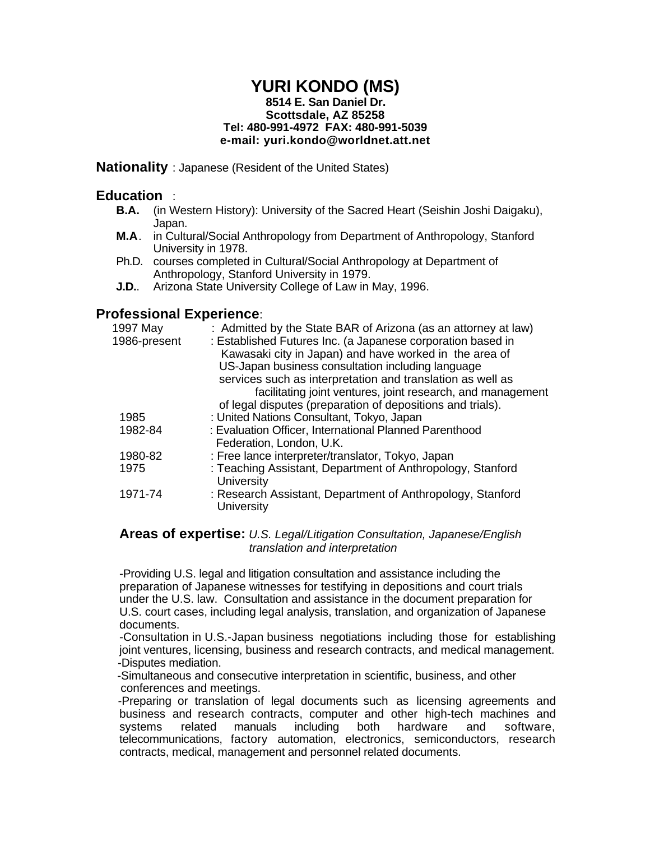### **YURI KONDO (MS) 8514 E. San Daniel Dr. Scottsdale, AZ 85258 Tel: 480-991-4972 FAX: 480-991-5039 e-mail: yuri.kondo@worldnet.att.net**

**Nationality** : Japanese (Resident of the United States)

## **Education** :

- **B.A.** (in Western History): University of the Sacred Heart (Seishin Joshi Daigaku), Japan.
- **M.A**. in Cultural/Social Anthropology from Department of Anthropology, Stanford University in 1978.
- Ph.D. courses completed in Cultural/Social Anthropology at Department of Anthropology, Stanford University in 1979.
- **J.D.**. Arizona State University College of Law in May, 1996.

# **Professional Experience**:

| 1997 May     | : Admitted by the State BAR of Arizona (as an attorney at law)                  |
|--------------|---------------------------------------------------------------------------------|
| 1986-present | : Established Futures Inc. (a Japanese corporation based in                     |
|              | Kawasaki city in Japan) and have worked in the area of                          |
|              | US-Japan business consultation including language                               |
|              | services such as interpretation and translation as well as                      |
|              | facilitating joint ventures, joint research, and management                     |
|              | of legal disputes (preparation of depositions and trials).                      |
| 1985         | : United Nations Consultant, Tokyo, Japan                                       |
| 1982-84      | : Evaluation Officer, International Planned Parenthood                          |
|              | Federation, London, U.K.                                                        |
| 1980-82      | : Free lance interpreter/translator, Tokyo, Japan                               |
| 1975         | : Teaching Assistant, Department of Anthropology, Stanford<br><b>University</b> |
| 1971-74      | : Research Assistant, Department of Anthropology, Stanford<br>University        |

#### **Areas of expertise:** *U.S. Legal/Litigation Consultation, Japanese/English translation and interpretation*

-Providing U.S. legal and litigation consultation and assistance including the preparation of Japanese witnesses for testifying in depositions and court trials under the U.S. law. Consultation and assistance in the document preparation for U.S. court cases, including legal analysis, translation, and organization of Japanese documents.

-Consultation in U.S.-Japan business negotiations including those for establishing joint ventures, licensing, business and research contracts, and medical management. -Disputes mediation.

 -Simultaneous and consecutive interpretation in scientific, business, and other conferences and meetings.

 -Preparing or translation of legal documents such as licensing agreements and business and research contracts, computer and other high-tech machines and systems related manuals including both hardware and software, telecommunications, factory automation, electronics, semiconductors, research contracts, medical, management and personnel related documents.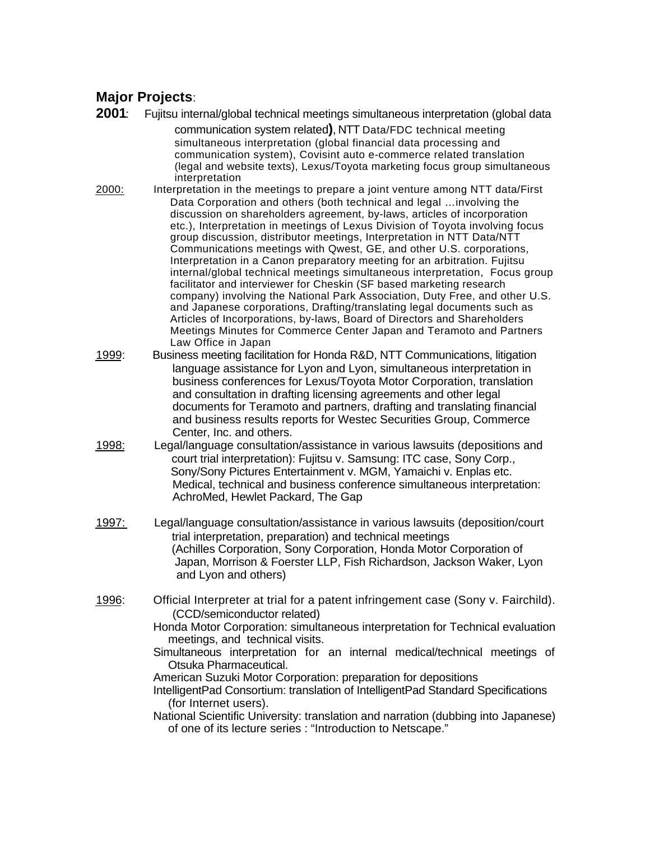# **Major Projects**:

**2001**: Fujitsu internal/global technical meetings simultaneous interpretation (global data

communication system related**)**, NTT Data/FDC technical meeting simultaneous interpretation (global financial data processing and communication system), Covisint auto e-commerce related translation (legal and website texts), Lexus/Toyota marketing focus group simultaneous interpretation

- 2000: Interpretation in the meetings to prepare a joint venture among NTT data/First Data Corporation and others (both technical and legal …involving the discussion on shareholders agreement, by-laws, articles of incorporation etc.), Interpretation in meetings of Lexus Division of Toyota involving focus group discussion, distributor meetings, Interpretation in NTT Data/NTT Communications meetings with Qwest, GE, and other U.S. corporations, Interpretation in a Canon preparatory meeting for an arbitration. Fujitsu internal/global technical meetings simultaneous interpretation, Focus group facilitator and interviewer for Cheskin (SF based marketing research company) involving the National Park Association, Duty Free, and other U.S. and Japanese corporations, Drafting/translating legal documents such as Articles of Incorporations, by-laws, Board of Directors and Shareholders Meetings Minutes for Commerce Center Japan and Teramoto and Partners Law Office in Japan
- 1999: Business meeting facilitation for Honda R&D, NTT Communications, litigation language assistance for Lyon and Lyon, simultaneous interpretation in business conferences for Lexus/Toyota Motor Corporation, translation and consultation in drafting licensing agreements and other legal documents for Teramoto and partners, drafting and translating financial and business results reports for Westec Securities Group, Commerce Center, Inc. and others.
- 1998: Legal/language consultation/assistance in various lawsuits (depositions and court trial interpretation): Fujitsu v. Samsung: ITC case, Sony Corp., Sony/Sony Pictures Entertainment v. MGM, Yamaichi v. Enplas etc. Medical, technical and business conference simultaneous interpretation: AchroMed, Hewlet Packard, The Gap
- 1997: Legal/language consultation/assistance in various lawsuits (deposition/court trial interpretation, preparation) and technical meetings (Achilles Corporation, Sony Corporation, Honda Motor Corporation of Japan, Morrison & Foerster LLP, Fish Richardson, Jackson Waker, Lyon and Lyon and others)
- 1996: Official Interpreter at trial for a patent infringement case (Sony v. Fairchild). (CCD/semiconductor related)
	- Honda Motor Corporation: simultaneous interpretation for Technical evaluation meetings, and technical visits.
	- Simultaneous interpretation for an internal medical/technical meetings of Otsuka Pharmaceutical.

American Suzuki Motor Corporation: preparation for depositions

IntelligentPad Consortium: translation of IntelligentPad Standard Specifications (for Internet users).

National Scientific University: translation and narration (dubbing into Japanese) of one of its lecture series : "Introduction to Netscape."